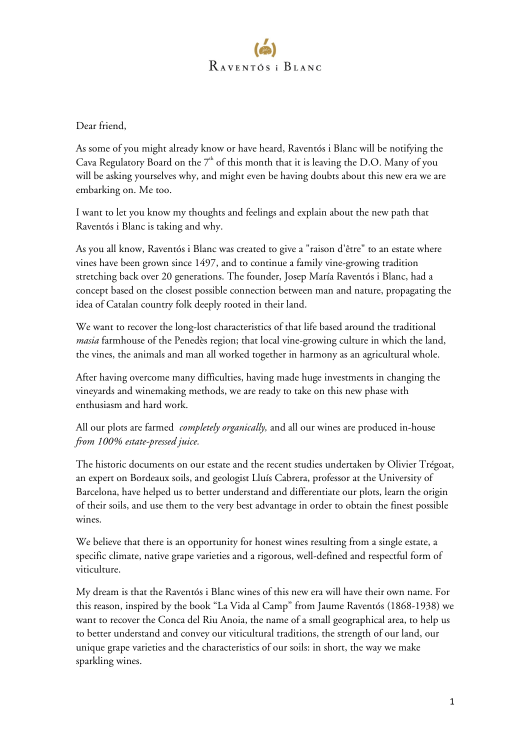

Dear friend,

As some of you might already know or have heard, Raventós i Blanc will be notifying the Cava Regulatory Board on the  $7<sup>th</sup>$  of this month that it is leaving the D.O. Many of you will be asking yourselves why, and might even be having doubts about this new era we are embarking on. Me too.

I want to let you know my thoughts and feelings and explain about the new path that Raventós i Blanc is taking and why.

As you all know, Raventós i Blanc was created to give a "raison d'être" to an estate where vines have been grown since 1497, and to continue a family vine-growing tradition stretching back over 20 generations. The founder, Josep María Raventós i Blanc, had a concept based on the closest possible connection between man and nature, propagating the idea of Catalan country folk deeply rooted in their land.

We want to recover the long-lost characteristics of that life based around the traditional *masia* farmhouse of the Penedès region; that local vine-growing culture in which the land, the vines, the animals and man all worked together in harmony as an agricultural whole.

After having overcome many difficulties, having made huge investments in changing the vineyards and winemaking methods, we are ready to take on this new phase with enthusiasm and hard work.

All our plots are farmed *completely organically,* and all our wines are produced in-house *from 100% estate-pressed juice.*

The historic documents on our estate and the recent studies undertaken by Olivier Trégoat, an expert on Bordeaux soils, and geologist Lluís Cabrera, professor at the University of Barcelona, have helped us to better understand and differentiate our plots, learn the origin of their soils, and use them to the very best advantage in order to obtain the finest possible wines.

We believe that there is an opportunity for honest wines resulting from a single estate, a specific climate, native grape varieties and a rigorous, well-defined and respectful form of viticulture.

My dream is that the Raventós i Blanc wines of this new era will have their own name. For this reason, inspired by the book "La Vida al Camp" from Jaume Raventós (1868-1938) we want to recover the Conca del Riu Anoia, the name of a small geographical area, to help us to better understand and convey our viticultural traditions, the strength of our land, our unique grape varieties and the characteristics of our soils: in short, the way we make sparkling wines.